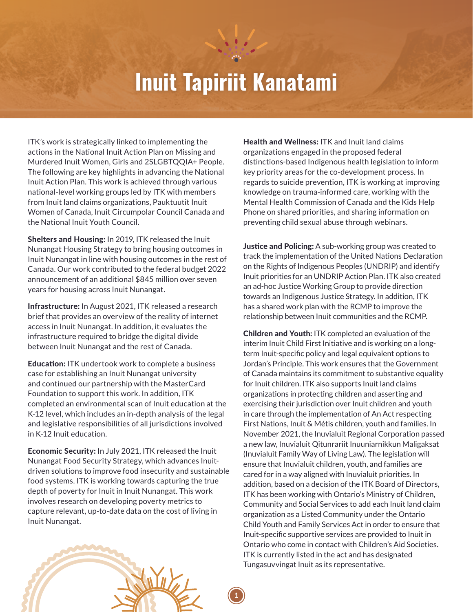## **Inuit Tapiriit Kanatami**

**1**

ITK's work is strategically linked to implementing the actions in the National Inuit Action Plan on Missing and Murdered Inuit Women, Girls and 2SLGBTQQIA+ People. The following are key highlights in advancing the National Inuit Action Plan. This work is achieved through various national-level working groups led by ITK with members from Inuit land claims organizations, Pauktuutit Inuit Women of Canada, Inuit Circumpolar Council Canada and the National Inuit Youth Council.

Shelters and Housing: In 2019, ITK released the Inuit Nunangat Housing Strategy to bring housing outcomes in Inuit Nunangat in line with housing outcomes in the rest of Canada. Our work contributed to the federal budget 2022 announcement of an additional \$845 million over seven years for housing across Inuit Nunangat.

Infrastructure: In August 2021, ITK released a research brief that provides an overview of the reality of internet access in Inuit Nunangat. In addition, it evaluates the infrastructure required to bridge the digital divide between Inuit Nunangat and the rest of Canada.

Education: ITK undertook work to complete a business case for establishing an Inuit Nunangat university and continued our partnership with the MasterCard Foundation to support this work. In addition, ITK completed an environmental scan of Inuit education at the K-12 level, which includes an in-depth analysis of the legal and legislative responsibilities of all jurisdictions involved in K-12 Inuit education.

Economic Security: In July 2021, ITK released the Inuit Nunangat Food Security Strategy, which advances Inuitdriven solutions to improve food insecurity and sustainable food systems. ITK is working towards capturing the true depth of poverty for Inuit in Inuit Nunangat. This work involves research on developing poverty metrics to capture relevant, up-to-date data on the cost of living in Inuit Nunangat.

Health and Wellness: ITK and Inuit land claims organizations engaged in the proposed federal distinctions-based Indigenous health legislation to inform key priority areas for the co-development process. In regards to suicide prevention, ITK is working at improving knowledge on trauma-informed care, working with the Mental Health Commission of Canada and the Kids Help Phone on shared priorities, and sharing information on preventing child sexual abuse through webinars.

**Justice and Policing:** A sub-working group was created to track the implementation of the United Nations Declaration on the Rights of Indigenous Peoples (UNDRIP) and identify Inuit priorities for an UNDRIP Action Plan. ITK also created an ad-hoc Justice Working Group to provide direction towards an Indigenous Justice Strategy. In addition, ITK has a shared work plan with the RCMP to improve the relationship between Inuit communities and the RCMP.

Children and Youth: ITK completed an evaluation of the interim Inuit Child First Initiative and is working on a longterm Inuit-specific policy and legal equivalent options to Jordan's Principle. This work ensures that the Government of Canada maintains its commitment to substantive equality for Inuit children. ITK also supports Inuit land claims organizations in protecting children and asserting and exercising their jurisdiction over Inuit children and youth in care through the implementation of An Act respecting First Nations, Inuit & Métis children, youth and families. In November 2021, the Inuvialuit Regional Corporation passed a new law, Inuvialuit Qitunrariit Inuuniarnikkun Maligaksat (Inuvialuit Family Way of Living Law). The legislation will ensure that Inuvialuit children, youth, and families are cared for in a way aligned with Inuvialuit priorities. In addition, based on a decision of the ITK Board of Directors, ITK has been working with Ontario's Ministry of Children, Community and Social Services to add each Inuit land claim organization as a Listed Community under the Ontario Child Youth and Family Services Act in order to ensure that Inuit-specific supportive services are provided to Inuit in Ontario who come in contact with Children's Aid Societies. ITK is currently listed in the act and has designated Tungasuvvingat Inuit as its representative.